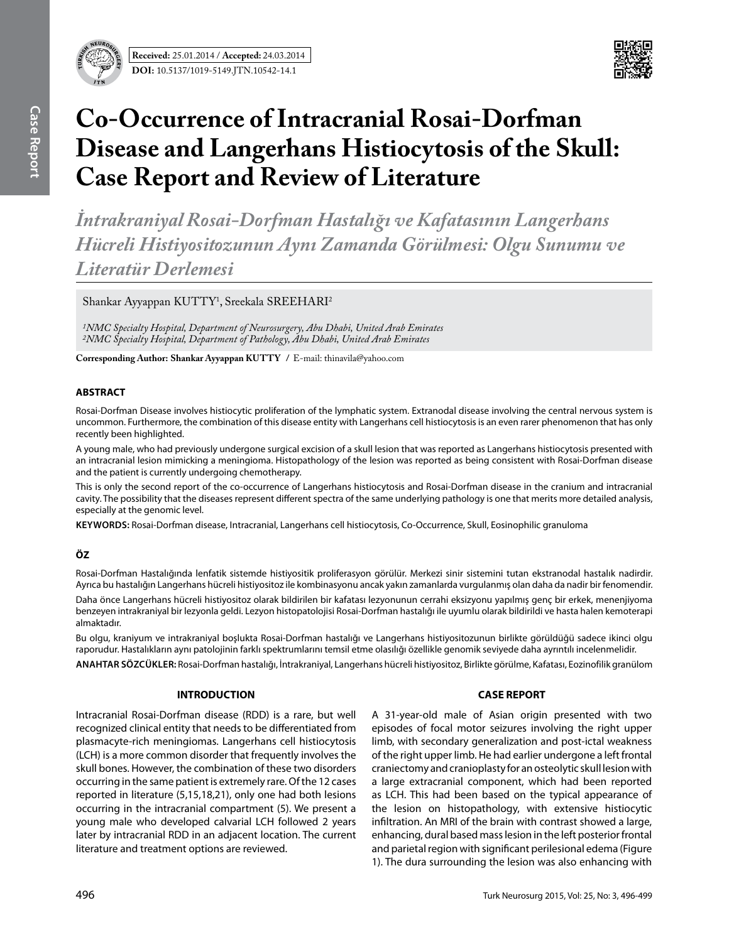

# **Co-Occurrence of Intracranial Rosai-Dorfman Disease and Langerhans Histiocytosis of the Skull: Case Report and Review of Literature**

*İntrakraniyal Rosai-Dorfman Hastalığı ve Kafatasının Langerhans Hücreli Histiyositozunun Aynı Zamanda Görülmesi: Olgu Sunumu ve Literatür Derlemesi* 

Shankar Ayyappan KUTTY<sup>1</sup>, Sreekala SREEHARI<sup>2</sup>

*1NMC Specialty Hospital, Department of Neurosurgery, Abu Dhabi, United Arab Emirates 2NMC Specialty Hospital, Department of Pathology, Abu Dhabi, United Arab Emirates*

**Corresponding Author: Shankar Ayyappan KUTTY / E-mail: thinavila@yahoo.com** 

## **ABSTRACT**

Rosai-Dorfman Disease involves histiocytic proliferation of the lymphatic system. Extranodal disease involving the central nervous system is uncommon. Furthermore, the combination of this disease entity with Langerhans cell histiocytosis is an even rarer phenomenon that has only recently been highlighted.

A young male, who had previously undergone surgical excision of a skull lesion that was reported as Langerhans histiocytosis presented with an intracranial lesion mimicking a meningioma. Histopathology of the lesion was reported as being consistent with Rosai-Dorfman disease and the patient is currently undergoing chemotherapy.

This is only the second report of the co-occurrence of Langerhans histiocytosis and Rosai-Dorfman disease in the cranium and intracranial cavity. The possibility that the diseases represent different spectra of the same underlying pathology is one that merits more detailed analysis, especially at the genomic level.

**Keywords:** Rosai-Dorfman disease, Intracranial, Langerhans cell histiocytosis, Co-Occurrence, Skull, Eosinophilic granuloma

# **ÖZ**

Rosai-Dorfman Hastalığında lenfatik sistemde histiyositik proliferasyon görülür. Merkezi sinir sistemini tutan ekstranodal hastalık nadirdir. Ayrıca bu hastalığın Langerhans hücreli histiyositoz ile kombinasyonu ancak yakın zamanlarda vurgulanmış olan daha da nadir bir fenomendir.

Daha önce Langerhans hücreli histiyositoz olarak bildirilen bir kafatası lezyonunun cerrahi eksizyonu yapılmış genç bir erkek, menenjiyoma benzeyen intrakraniyal bir lezyonla geldi. Lezyon histopatolojisi Rosai-Dorfman hastalığı ile uyumlu olarak bildirildi ve hasta halen kemoterapi almaktadır.

Bu olgu, kraniyum ve intrakraniyal boşlukta Rosai-Dorfman hastalığı ve Langerhans histiyositozunun birlikte görüldüğü sadece ikinci olgu raporudur. Hastalıkların aynı patolojinin farklı spektrumlarını temsil etme olasılığı özellikle genomik seviyede daha ayrıntılı incelenmelidir.

**ANAHTAR SÖZCÜKLER:** Rosai-Dorfman hastalığı, İntrakraniyal, Langerhans hücreli histiyositoz, Birlikte görülme, Kafatası, Eozinofilik granülom

# **INTRODUCTION**

Intracranial Rosai-Dorfman disease (RDD) is a rare, but well recognized clinical entity that needs to be differentiated from plasmacyte-rich meningiomas. Langerhans cell histiocytosis (LCH) is a more common disorder that frequently involves the skull bones. However, the combination of these two disorders occurring in the same patient is extremely rare. Of the 12 cases reported in literature (5,15,18,21), only one had both lesions occurring in the intracranial compartment (5). We present a young male who developed calvarial LCH followed 2 years later by intracranial RDD in an adjacent location. The current literature and treatment options are reviewed.

## **CASE REPORT**

A 31-year-old male of Asian origin presented with two episodes of focal motor seizures involving the right upper limb, with secondary generalization and post-ictal weakness of the right upper limb. He had earlier undergone a left frontal craniectomy and cranioplasty for an osteolytic skull lesion with a large extracranial component, which had been reported as LCH. This had been based on the typical appearance of the lesion on histopathology, with extensive histiocytic infiltration. An MRI of the brain with contrast showed a large, enhancing, dural based mass lesion in the left posterior frontal and parietal region with significant perilesional edema (Figure 1). The dura surrounding the lesion was also enhancing with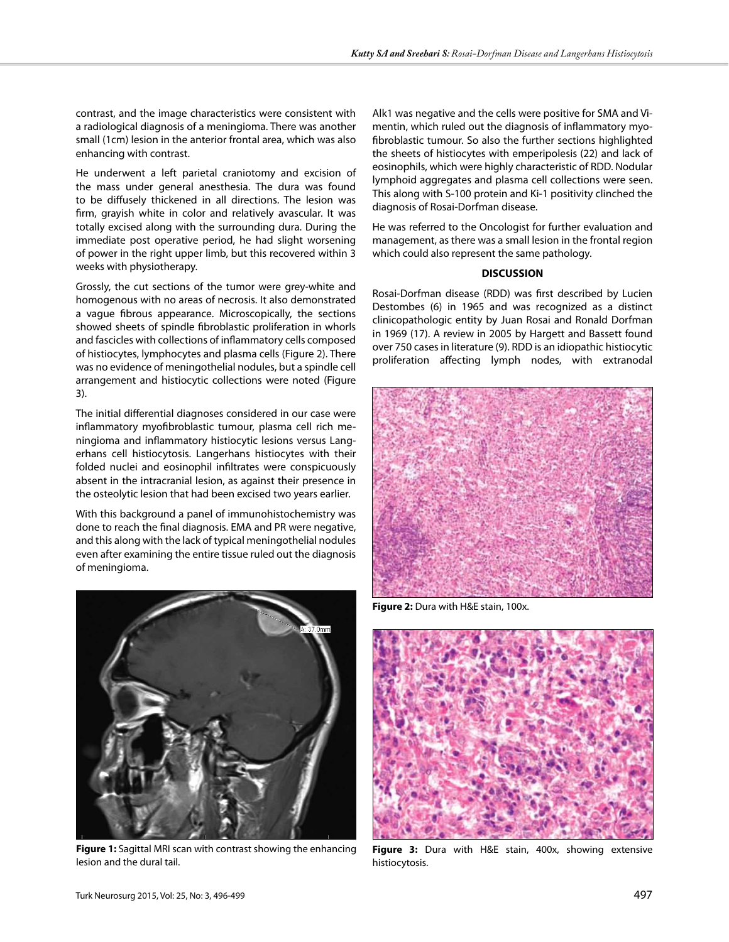contrast, and the image characteristics were consistent with a radiological diagnosis of a meningioma. There was another small (1cm) lesion in the anterior frontal area, which was also enhancing with contrast.

He underwent a left parietal craniotomy and excision of the mass under general anesthesia. The dura was found to be diffusely thickened in all directions. The lesion was firm, grayish white in color and relatively avascular. It was totally excised along with the surrounding dura. During the immediate post operative period, he had slight worsening of power in the right upper limb, but this recovered within 3 weeks with physiotherapy.

Grossly, the cut sections of the tumor were grey-white and homogenous with no areas of necrosis. It also demonstrated a vague fibrous appearance. Microscopically, the sections showed sheets of spindle fibroblastic proliferation in whorls and fascicles with collections of inflammatory cells composed of histiocytes, lymphocytes and plasma cells (Figure 2). There was no evidence of meningothelial nodules, but a spindle cell arrangement and histiocytic collections were noted (Figure 3).

The initial differential diagnoses considered in our case were inflammatory myofibroblastic tumour, plasma cell rich meningioma and inflammatory histiocytic lesions versus Langerhans cell histiocytosis. Langerhans histiocytes with their folded nuclei and eosinophil infiltrates were conspicuously absent in the intracranial lesion, as against their presence in the osteolytic lesion that had been excised two years earlier.

With this background a panel of immunohistochemistry was done to reach the final diagnosis. EMA and PR were negative, and this along with the lack of typical meningothelial nodules even after examining the entire tissue ruled out the diagnosis of meningioma.



**Figure 1:** Sagittal MRI scan with contrast showing the enhancing lesion and the dural tail.

Alk1 was negative and the cells were positive for SMA and Vimentin, which ruled out the diagnosis of inflammatory myofibroblastic tumour. So also the further sections highlighted the sheets of histiocytes with emperipolesis (22) and lack of eosinophils, which were highly characteristic of RDD. Nodular lymphoid aggregates and plasma cell collections were seen. This along with S-100 protein and Ki-1 positivity clinched the diagnosis of Rosai-Dorfman disease.

He was referred to the Oncologist for further evaluation and management, as there was a small lesion in the frontal region which could also represent the same pathology.

#### **DISCUSSION**

Rosai-Dorfman disease (RDD) was first described by Lucien Destombes (6) in 1965 and was recognized as a distinct clinicopathologic entity by Juan Rosai and Ronald Dorfman in 1969 (17). A review in 2005 by Hargett and Bassett found over 750 cases in literature (9). RDD is an idiopathic histiocytic proliferation affecting lymph nodes, with extranodal



**Figure 2:** Dura with H&E stain, 100x.



**Figure 3:** Dura with H&E stain, 400x, showing extensive histiocytosis.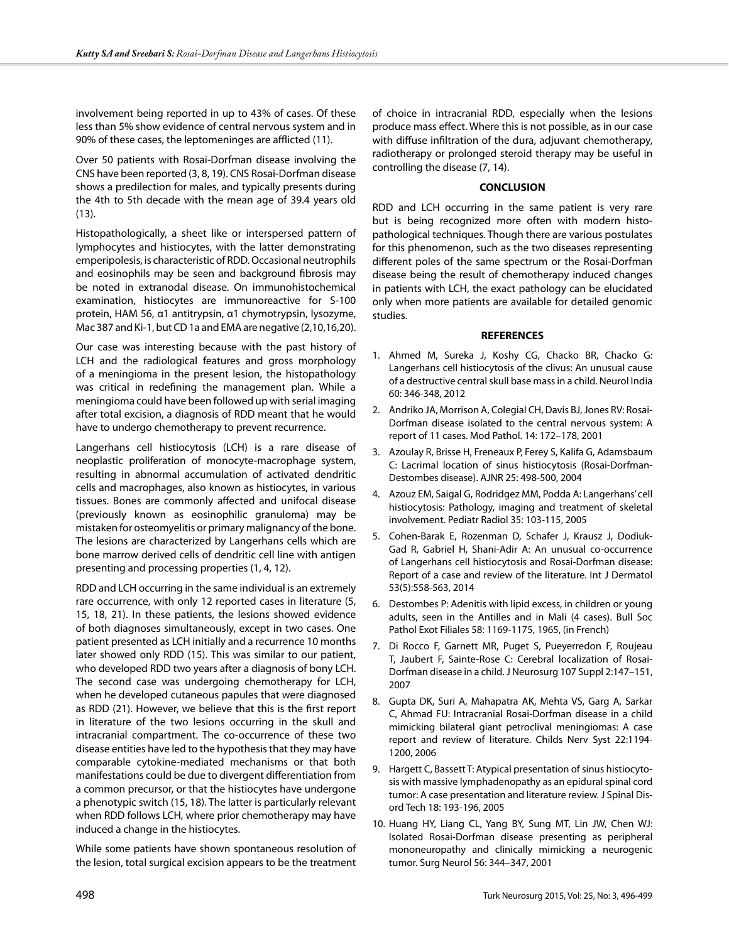involvement being reported in up to 43% of cases. Of these less than 5% show evidence of central nervous system and in 90% of these cases, the leptomeninges are afflicted (11).

Over 50 patients with Rosai-Dorfman disease involving the CNS have been reported (3, 8, 19). CNS Rosai-Dorfman disease shows a predilection for males, and typically presents during the 4th to 5th decade with the mean age of 39.4 years old (13).

Histopathologically, a sheet like or interspersed pattern of lymphocytes and histiocytes, with the latter demonstrating emperipolesis, is characteristic of RDD. Occasional neutrophils and eosinophils may be seen and background fibrosis may be noted in extranodal disease. On immunohistochemical examination, histiocytes are immunoreactive for S-100 protein, HAM 56, α1 antitrypsin, α1 chymotrypsin, lysozyme, Mac 387 and Ki-1, but CD 1a and EMA are negative (2,10,16,20).

Our case was interesting because with the past history of LCH and the radiological features and gross morphology of a meningioma in the present lesion, the histopathology was critical in redefining the management plan. While a meningioma could have been followed up with serial imaging after total excision, a diagnosis of RDD meant that he would have to undergo chemotherapy to prevent recurrence.

Langerhans cell histiocytosis (LCH) is a rare disease of neoplastic proliferation of monocyte-macrophage system, resulting in abnormal accumulation of activated dendritic cells and macrophages, also known as histiocytes, in various tissues. Bones are commonly affected and unifocal disease (previously known as eosinophilic granuloma) may be mistaken for osteomyelitis or primary malignancy of the bone. The lesions are characterized by Langerhans cells which are bone marrow derived cells of dendritic cell line with antigen presenting and processing properties (1, 4, 12).

RDD and LCH occurring in the same individual is an extremely rare occurrence, with only 12 reported cases in literature (5, 15, 18, 21). In these patients, the lesions showed evidence of both diagnoses simultaneously, except in two cases. One patient presented as LCH initially and a recurrence 10 months later showed only RDD (15). This was similar to our patient, who developed RDD two years after a diagnosis of bony LCH. The second case was undergoing chemotherapy for LCH, when he developed cutaneous papules that were diagnosed as RDD (21). However, we believe that this is the first report in literature of the two lesions occurring in the skull and intracranial compartment. The co-occurrence of these two disease entities have led to the hypothesis that they may have comparable cytokine-mediated mechanisms or that both manifestations could be due to divergent differentiation from a common precursor, or that the histiocytes have undergone a phenotypic switch (15, 18). The latter is particularly relevant when RDD follows LCH, where prior chemotherapy may have induced a change in the histiocytes.

While some patients have shown spontaneous resolution of the lesion, total surgical excision appears to be the treatment

of choice in intracranial RDD, especially when the lesions produce mass effect. Where this is not possible, as in our case with diffuse infiltration of the dura, adjuvant chemotherapy, radiotherapy or prolonged steroid therapy may be useful in controlling the disease (7, 14).

### **CONCLUSION**

RDD and LCH occurring in the same patient is very rare but is being recognized more often with modern histopathological techniques. Though there are various postulates for this phenomenon, such as the two diseases representing different poles of the same spectrum or the Rosai-Dorfman disease being the result of chemotherapy induced changes in patients with LCH, the exact pathology can be elucidated only when more patients are available for detailed genomic studies.

#### **REFERENCES**

- 1. Ahmed M, Sureka J, Koshy CG, Chacko BR, Chacko G: Langerhans cell histiocytosis of the clivus: An unusual cause of a destructive central skull base mass in a child. Neurol India 60: 346-348, 2012
- 2. Andriko JA, Morrison A, Colegial CH, Davis BJ, Jones RV: Rosai-Dorfman disease isolated to the central nervous system: A report of 11 cases. Mod Pathol. 14: 172–178, 2001
- 3. Azoulay R, Brisse H, Freneaux P, Ferey S, Kalifa G, Adamsbaum C: Lacrimal location of sinus histiocytosis (Rosai-Dorfman-Destombes disease). AJNR 25: 498-500, 2004
- 4. Azouz EM, Saigal G, Rodridgez MM, Podda A: Langerhans' cell histiocytosis: Pathology, imaging and treatment of skeletal involvement. Pediatr Radiol 35: 103-115, 2005
- 5. Cohen-Barak E, Rozenman D, Schafer J, Krausz J, Dodiuk-Gad R, Gabriel H, Shani-Adir A: An unusual co-occurrence of Langerhans cell histiocytosis and Rosai-Dorfman disease: Report of a case and review of the literature. Int J Dermatol 53(5):558-563, 2014
- 6. Destombes P: Adenitis with lipid excess, in children or young adults, seen in the Antilles and in Mali (4 cases). Bull Soc Pathol Exot Filiales 58: 1169-1175, 1965, (in French)
- 7. Di Rocco F, Garnett MR, Puget S, Pueyerredon F, Roujeau T, Jaubert F, Sainte-Rose C: Cerebral localization of Rosai-Dorfman disease in a child. J Neurosurg 107 Suppl 2:147–151, 2007
- 8. Gupta DK, Suri A, Mahapatra AK, Mehta VS, Garg A, Sarkar C, Ahmad FU: Intracranial Rosai-Dorfman disease in a child mimicking bilateral giant petroclival meningiomas: A case report and review of literature. Childs Nerv Syst 22:1194- 1200, 2006
- 9. Hargett C, Bassett T: Atypical presentation of sinus histiocytosis with massive lymphadenopathy as an epidural spinal cord tumor: A case presentation and literature review. J Spinal Disord Tech 18: 193-196, 2005
- 10. Huang HY, Liang CL, Yang BY, Sung MT, Lin JW, Chen WJ: Isolated Rosai-Dorfman disease presenting as peripheral mononeuropathy and clinically mimicking a neurogenic tumor. Surg Neurol 56: 344–347, 2001